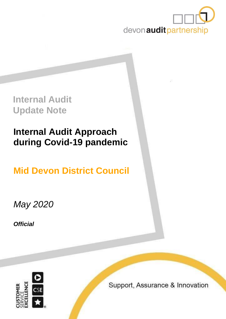

**Internal Audit Update Note**

# **Internal Audit Approach during Covid-19 pandemic**

**Mid Devon District Council**

*May 2020*

*Official*



Support, Assurance & Innovation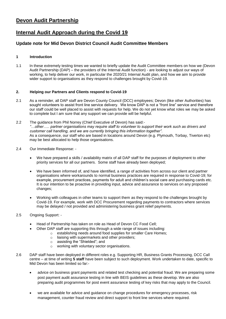## **Devon Audit Partnership**

## **Internal Audit Approach during the Covid 19**

### **Update note for Mid Devon District Council Audit Committee Members**

#### **1 Introduction**

1.1 In these extremely testing times we wanted to briefly update the Audit Committee members on how we (Devon Audit Partnership (DAP) – the providers of the Internal Audit function) - are looking to adjust our ways of working, to help deliver our work, in particular the 2020/21 Internal Audit plan, and how we aim to provide wider support to organisations as they respond to challenges brought by Covid-19.

#### **2. Helping our Partners and Clients respond to Covid-19**

- 2.1 As a reminder, all DAP staff are Devon County Council (DCC) employees; Devon (like other Authorities) has sought volunteers to assist front line service delivery. We know DAP is not a "front line" service and therefore our staff could be well placed to assist with requests for help. We do not yet know what roles we may be asked to complete but I am sure that any support we can provide will be helpful.
- 2.2 The guidance from Phil Norrey (Chief Executive of Devon) has said:- *"…other….. partner organisations may require staff to volunteer to support their work such as drivers and customer call handling, and we are currently bringing this information together".*  As a consequence, our staff who are based in locations around Devon (e.g. Plymouth, Torbay, Tiverton etc) may be best allocated to help those organisations.
- 2.4 Our Immediate Response:
	- We have prepared a skills / availability matrix of all DAP staff for the purposes of deployment to other priority services for all our partners. Some staff have already been deployed;
	- We have been informed of, and have identified, a range of activities from across our client and partner organisations where workarounds to normal business practices are required in response to Covid-19; for example, procurement practices, payments for adult and children's social care and purchasing cards etc. It is our intention to be proactive in providing input, advice and assurance to services on any proposed changes;
	- Working with colleagues in other teams to support them as they respond to the challenges brought by Covid-19. For example, work with DCC Procurement regarding payments to contractors where services may be delayed / not provided and administering business grant relief payments.

#### 2.5 Ongoing Support: -

- Head of Partnership has taken on role as Head of Devon CC Food Cell;
	- Other DAP staff are supporting this through a wide range of issues including:
		- o establishing needs around food supplies for smaller Care Homes;
			- o liaising with supermarkets and other providers;
			- o assisting the "Shielded"; and
			- o working with voluntary sector organisations.
- 2.6 DAP staff have been deployed in different roles e.g. Supporting HR, Business Grants Processing, DCC Call centre – at time of writing **5 staff** have been subject to such deployment. Work undertaken to date, specific to Mid Devon has been limited so far:
	- advice on business grant payments and related test checking and potential fraud. We are preparing some post payment audit assurance testing in line with BEIS guidelines as these develop. We are also preparing audit programmes for post event assurance testing of key risks that may apply to the Council.
	- we are available for advice and guidance on change procedures for emergency processes, risk management, counter fraud review and direct support to front line services where required.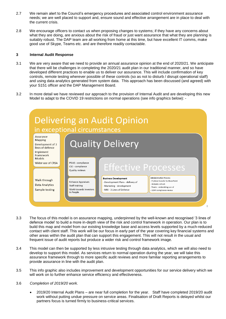- 2.7 We remain alert to the Council's emergency procedures and associated control environment assurance needs; we are well placed to support and, ensure sound and effective arrangement are in place to deal with the current crisis.
- 2.8 We encourage officers to contact us when proposing changes to systems; if they have any concerns about what they are doing, are anxious about the risk of fraud or just want assurance that what they are planning is suitably robust. The DAP team are all working from home at this time, but have excellent IT comms, make good use of Skype, Teams etc. and are therefore readily contactable.

#### **3 Internal Audit Response**

- 3.1 We are very aware that we need to provide an annual assurance opinion at the end of 2020/21. We anticipate that there will be challenges in completing the 2020/21 audit plan in our traditional manner, and so have developed different practices to enable us to deliver our assurance. This will include confirmation of key controls, remote testing wherever possible of these controls (so as not to disturb / disrupt operational staff) and using data analytics generated from system data. This approach has been discussed (and agreed) with your S151 officer and the DAP Management Board.
- 3.2 In more detail we have reviewed our approach to the provision of Internal Audit and are developing this new Model to adapt to the COVID 19 restrictions on normal operations (see info graphics below): -



- 3.3 The focus of this model is on assurance mapping, underpinned by the well-known and recognised '3 lines of defence model' to build a more in-depth view of the risk and control framework in operation. Our plan is to build this map and model from our existing knowledge base and access levels supported by a much-reduced contact with client staff. This work will be our focus in early part of the year covering key financial systems and other areas within the audit plan that can support this engagement. This will not result in the usual and frequent issue of audit reports but produce a wider risk and control framework image.
- 3.4 This model can then be supported by less intrusive testing through data analytics, which we will also need to develop to support this model. As services return to normal operation during the year, we will take this assurance framework through to more specific audit reviews and more familiar reporting arrangements to provide assurance in line with the audit plan.
- 3.5 This info graphic also includes improvement and development opportunities for our service delivery which we will work on to further enhance service efficiency and effectiveness.
- 3.6 *Completion of 2019/20 work.*
	- 2019/20 Internal Audit Plans are near full completion for the year. Staff have completed 2019/20 audit work without putting undue pressure on service areas. Finalisation of Draft Reports is delayed whilst our partners focus is turned firmly to business-critical services.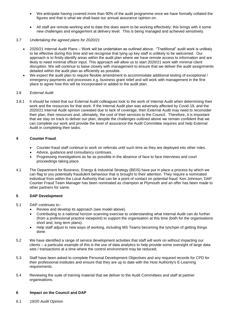- We anticipate having covered more than 90% of the audit programme once we have formally collated the figures and that is what we shall base our annual assurance opinion on.
- All staff are remote working and to date this does seem to be working effectively; this brings with it some new challenges and engagement at delivery level. This is being managed and achieved sensitively.

#### 3.7 *Undertaking the agreed plans for 2020/21*

- 2020/21 Internal Audit Plans Work will be undertaken as outlined above. "Traditional" audit work is unlikely to be effective during this time and we recognise that tying up key staff is unlikely to be welcomed. Our approach is to firstly identify areas within the audit plan where we have remote access to information and are likely to need minimal officer input. This approach will allow us to start 2020/21 work with minimal client disruption. We will continue to liaise closely with management to ensure that we deliver the audit assignments detailed within the audit plan as efficiently as possible.
- We expect the audit plan to require flexible amendment to accommodate additional testing of exceptional / emergency payments and processes e.g. business grant relief and will work with management in the first place to agree how this will be incorporated or added to the audit plan.

#### 3.8 *External Audit*

3.8.1 It should be noted that our External Audit colleagues look to the work of Internal Audit when determining their work and the resources for that work. If the Internal Audit plan was adversely affected by Covid-19, and the 2020/21 Internal Audit opinion caveated due to lack of coverage, then External Audit may need to reconsider their plan, their resources and, ultimately, the cost of their services to the Council. Therefore, it is important that we stay on track to deliver our plan; despite the challenges outlined above we remain confident that we can complete our work and provide the level of assurance the Audit Committee requires and help External Audit in completing their tasks.

#### **4 Counter Fraud**.

- Counter-fraud staff continue to work on referrals until such time as they are deployed into other roles.
- Advice, guidance and consultancy continues.
- Progressing investigations as far as possible in the absence of face to face interviews and court proceedings taking place.
- 4.1 The Department for Business, Energy & Industrial Strategy (BEIS) have put in place a process by which we can flag to you potentially fraudulent behaviour that is brought to their attention. They require a nominated individual from within the Local Authority that can be a point of contact on potential fraud. Ken Johnson, DAP Counter Fraud Team Manager has been nominated as champion at Plymouth and an offer has been made to other partners for same.

#### **5 DAP Development**

- 5.1 DAP continues to:-
	- Review and develop its approach (see model above).
	- Contributing to a national horizon scanning exercise to understanding what Internal Audit can do further (from a professional practice viewpoint) to support the organisation at this time (both for the organisations short and, long term plans).
	- Help staff adjust to new ways of working, including MS Teams becoming the lynchpin of getting things done.
- 5.2 We have identified a range of service development activities that staff will work on without impacting our clients – a particular example of this is the use of data analytics to help provide some oversight of large data sets / transactions at a time where the control environment may be reduced;
- 5.3 Staff have been asked to complete Personal Development Objectives and any required records for CPD for their professional institutes and ensure that they are up to date with the Host Authority's E-Learning requirements.
- 5.4 Reviewing the suite of training material that we deliver to the Audit Committees and staff at partner organisations.

#### **6 Impact on the Council and DAP**

6.1 *19/20 Audit Opinion*